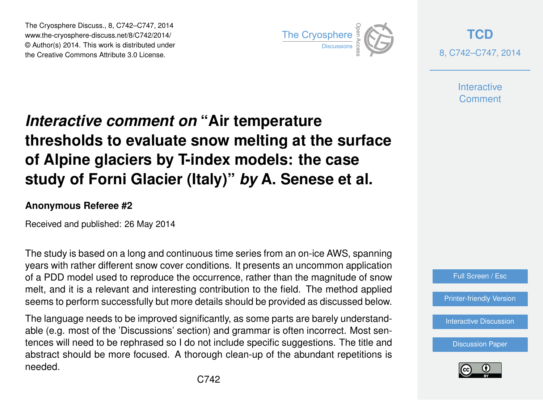The Cryosphere Discuss., 8, C742–C747, 2014 www.the-cryosphere-discuss.net/8/C742/2014/ © Author(s) 2014. This work is distributed under The Cryosphere Discuss., 8, C742–C747, 2014<br>
www.the-cryosphere-discuss.net/8/C742/2014/<br>
© Author(s) 2014. This work is distributed under<br>
the Creative Commons Attribute 3.0 License.



**[TCD](http://www.the-cryosphere-discuss.net)** 8, C742–C747, 2014

> **Interactive** Comment

## *Interactive comment on* **"Air temperature thresholds to evaluate snow melting at the surface of Alpine glaciers by T-index models: the case study of Forni Glacier (Italy)"** *by* **A. Senese et al.**

## **Anonymous Referee #2**

Received and published: 26 May 2014

The study is based on a long and continuous time series from an on-ice AWS, spanning years with rather different snow cover conditions. It presents an uncommon application of a PDD model used to reproduce the occurrence, rather than the magnitude of snow melt, and it is a relevant and interesting contribution to the field. The method applied seems to perform successfully but more details should be provided as discussed below.

The language needs to be improved significantly, as some parts are barely understandable (e.g. most of the 'Discussions' section) and grammar is often incorrect. Most sentences will need to be rephrased so I do not include specific suggestions. The title and abstract should be more focused. A thorough clean-up of the abundant repetitions is needed.



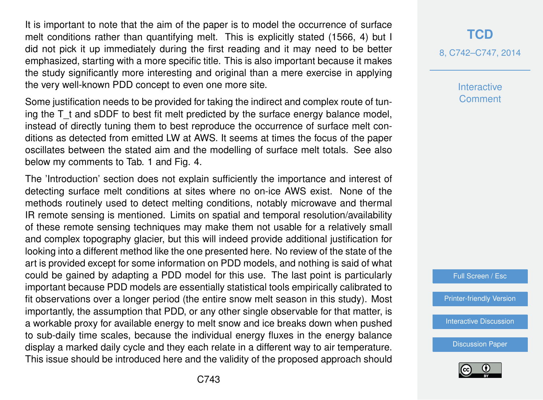It is important to note that the aim of the paper is to model the occurrence of surface melt conditions rather than quantifying melt. This is explicitly stated (1566, 4) but I did not pick it up immediately during the first reading and it may need to be better emphasized, starting with a more specific title. This is also important because it makes the study significantly more interesting and original than a mere exercise in applying the very well-known PDD concept to even one more site.

Some justification needs to be provided for taking the indirect and complex route of tuning the  $T$  t and sDDF to best fit melt predicted by the surface energy balance model, instead of directly tuning them to best reproduce the occurrence of surface melt conditions as detected from emitted LW at AWS. It seems at times the focus of the paper oscillates between the stated aim and the modelling of surface melt totals. See also below my comments to Tab. 1 and Fig. 4.

The 'Introduction' section does not explain sufficiently the importance and interest of detecting surface melt conditions at sites where no on-ice AWS exist. None of the methods routinely used to detect melting conditions, notably microwave and thermal IR remote sensing is mentioned. Limits on spatial and temporal resolution/availability of these remote sensing techniques may make them not usable for a relatively small and complex topography glacier, but this will indeed provide additional justification for looking into a different method like the one presented here. No review of the state of the art is provided except for some information on PDD models, and nothing is said of what could be gained by adapting a PDD model for this use. The last point is particularly important because PDD models are essentially statistical tools empirically calibrated to fit observations over a longer period (the entire snow melt season in this study). Most importantly, the assumption that PDD, or any other single observable for that matter, is a workable proxy for available energy to melt snow and ice breaks down when pushed to sub-daily time scales, because the individual energy fluxes in the energy balance display a marked daily cycle and they each relate in a different way to air temperature. This issue should be introduced here and the validity of the proposed approach should

**[TCD](http://www.the-cryosphere-discuss.net)** 8, C742–C747, 2014

> **Interactive** Comment

Full Screen / Esc

[Printer-friendly Version](http://www.the-cryosphere-discuss.net/8/C742/2014/tcd-8-C742-2014-print.pdf)

[Interactive Discussion](http://www.the-cryosphere-discuss.net/8/1563/2014/tcd-8-1563-2014-discussion.html)

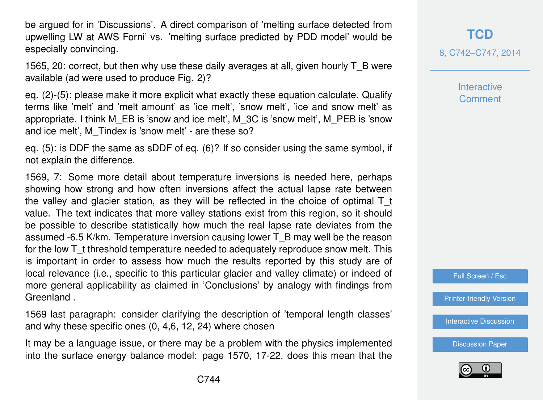be argued for in 'Discussions'. A direct comparison of 'melting surface detected from upwelling LW at AWS Forni' vs. 'melting surface predicted by PDD model' would be especially convincing.

1565, 20: correct, but then why use these daily averages at all, given hourly T\_B were available (ad were used to produce Fig. 2)?

eq. (2)-(5): please make it more explicit what exactly these equation calculate. Qualify terms like 'melt' and 'melt amount' as 'ice melt', 'snow melt', 'ice and snow melt' as appropriate. I think M\_EB is 'snow and ice melt', M\_3C is 'snow melt', M\_PEB is 'snow and ice melt', M\_Tindex is 'snow melt' - are these so?

eq. (5): is DDF the same as sDDF of eq. (6)? If so consider using the same symbol, if not explain the difference.

1569, 7: Some more detail about temperature inversions is needed here, perhaps showing how strong and how often inversions affect the actual lapse rate between the valley and glacier station, as they will be reflected in the choice of optimal  $T_t$ value. The text indicates that more valley stations exist from this region, so it should be possible to describe statistically how much the real lapse rate deviates from the assumed -6.5 K/km. Temperature inversion causing lower T\_B may well be the reason for the low T<sub>t</sub> threshold temperature needed to adequately reproduce snow melt. This is important in order to assess how much the results reported by this study are of local relevance (i.e., specific to this particular glacier and valley climate) or indeed of more general applicability as claimed in 'Conclusions' by analogy with findings from Greenland .

1569 last paragraph: consider clarifying the description of 'temporal length classes' and why these specific ones (0, 4,6, 12, 24) where chosen

It may be a language issue, or there may be a problem with the physics implemented into the surface energy balance model: page 1570, 17-22, does this mean that the 8, C742–C747, 2014

**Interactive** Comment

Full Screen / Esc

[Printer-friendly Version](http://www.the-cryosphere-discuss.net/8/C742/2014/tcd-8-C742-2014-print.pdf)

[Interactive Discussion](http://www.the-cryosphere-discuss.net/8/1563/2014/tcd-8-1563-2014-discussion.html)

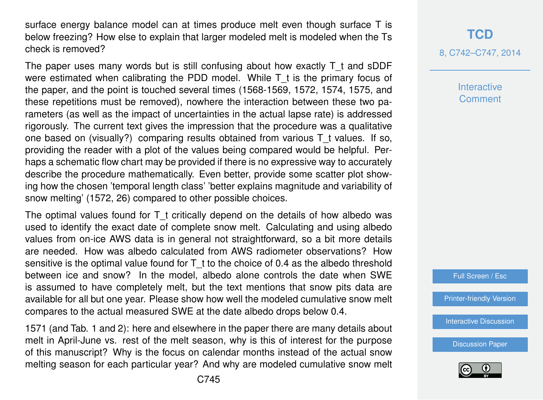surface energy balance model can at times produce melt even though surface T is below freezing? How else to explain that larger modeled melt is modeled when the Ts check is removed?

The paper uses many words but is still confusing about how exactly T t and sDDF were estimated when calibrating the PDD model. While  $T$  t is the primary focus of the paper, and the point is touched several times (1568-1569, 1572, 1574, 1575, and these repetitions must be removed), nowhere the interaction between these two parameters (as well as the impact of uncertainties in the actual lapse rate) is addressed rigorously. The current text gives the impression that the procedure was a qualitative one based on (visually?) comparing results obtained from various T\_t values. If so, providing the reader with a plot of the values being compared would be helpful. Perhaps a schematic flow chart may be provided if there is no expressive way to accurately describe the procedure mathematically. Even better, provide some scatter plot showing how the chosen 'temporal length class' 'better explains magnitude and variability of snow melting' (1572, 26) compared to other possible choices.

The optimal values found for  $T$  t critically depend on the details of how albedo was used to identify the exact date of complete snow melt. Calculating and using albedo values from on-ice AWS data is in general not straightforward, so a bit more details are needed. How was albedo calculated from AWS radiometer observations? How sensitive is the optimal value found for T t to the choice of 0.4 as the albedo threshold between ice and snow? In the model, albedo alone controls the date when SWE is assumed to have completely melt, but the text mentions that snow pits data are available for all but one year. Please show how well the modeled cumulative snow melt compares to the actual measured SWE at the date albedo drops below 0.4.

1571 (and Tab. 1 and 2): here and elsewhere in the paper there are many details about melt in April-June vs. rest of the melt season, why is this of interest for the purpose of this manuscript? Why is the focus on calendar months instead of the actual snow melting season for each particular year? And why are modeled cumulative snow melt

## **[TCD](http://www.the-cryosphere-discuss.net)**

8, C742–C747, 2014

**Interactive Comment** 

Full Screen / Esc

[Printer-friendly Version](http://www.the-cryosphere-discuss.net/8/C742/2014/tcd-8-C742-2014-print.pdf)

[Interactive Discussion](http://www.the-cryosphere-discuss.net/8/1563/2014/tcd-8-1563-2014-discussion.html)

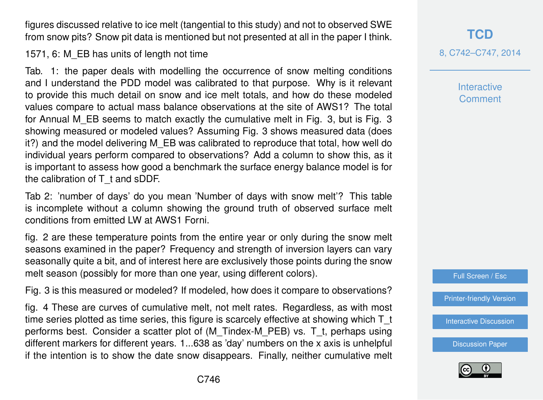figures discussed relative to ice melt (tangential to this study) and not to observed SWE from snow pits? Snow pit data is mentioned but not presented at all in the paper I think.

1571, 6: M\_EB has units of length not time

Tab. 1: the paper deals with modelling the occurrence of snow melting conditions and I understand the PDD model was calibrated to that purpose. Why is it relevant to provide this much detail on snow and ice melt totals, and how do these modeled values compare to actual mass balance observations at the site of AWS1? The total for Annual M\_EB seems to match exactly the cumulative melt in Fig. 3, but is Fig. 3 showing measured or modeled values? Assuming Fig. 3 shows measured data (does it?) and the model delivering M\_EB was calibrated to reproduce that total, how well do individual years perform compared to observations? Add a column to show this, as it is important to assess how good a benchmark the surface energy balance model is for the calibration of T\_t and sDDF.

Tab 2: 'number of days' do you mean 'Number of days with snow melt'? This table is incomplete without a column showing the ground truth of observed surface melt conditions from emitted LW at AWS1 Forni.

fig. 2 are these temperature points from the entire year or only during the snow melt seasons examined in the paper? Frequency and strength of inversion layers can vary seasonally quite a bit, and of interest here are exclusively those points during the snow melt season (possibly for more than one year, using different colors).

Fig. 3 is this measured or modeled? If modeled, how does it compare to observations?

fig. 4 These are curves of cumulative melt, not melt rates. Regardless, as with most time series plotted as time series, this figure is scarcely effective at showing which T\_t performs best. Consider a scatter plot of (M\_Tindex-M\_PEB) vs. T\_t, perhaps using different markers for different years. 1...638 as 'day' numbers on the x axis is unhelpful if the intention is to show the date snow disappears. Finally, neither cumulative melt

**[TCD](http://www.the-cryosphere-discuss.net)** 8, C742–C747, 2014

> **Interactive** Comment

Full Screen / Esc

[Printer-friendly Version](http://www.the-cryosphere-discuss.net/8/C742/2014/tcd-8-C742-2014-print.pdf)

[Interactive Discussion](http://www.the-cryosphere-discuss.net/8/1563/2014/tcd-8-1563-2014-discussion.html)